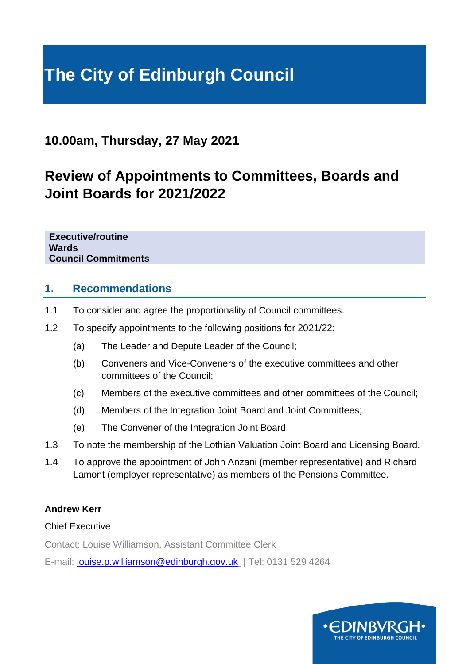# **The City of Edinburgh Council**

## **10.00am, Thursday, 27 May 2021**

## **Review of Appointments to Committees, Boards and Joint Boards for 2021/2022**

**Executive/routine Wards Council Commitments**

## **1. Recommendations**

- 1.1 To consider and agree the proportionality of Council committees.
- 1.2 To specify appointments to the following positions for 2021/22:
	- (a) The Leader and Depute Leader of the Council;
	- (b) Conveners and Vice-Conveners of the executive committees and other committees of the Council;
	- (c) Members of the executive committees and other committees of the Council;
	- (d) Members of the Integration Joint Board and Joint Committees;
	- (e) The Convener of the Integration Joint Board.
- 1.3 To note the membership of the Lothian Valuation Joint Board and Licensing Board.
- 1.4 To approve the appointment of John Anzani (member representative) and Richard Lamont (employer representative) as members of the Pensions Committee.

#### **Andrew Kerr**

#### Chief Executive

Contact: Louise Williamson, Assistant Committee Clerk

E-mail: [louise.p.williamson@edinburgh.gov.uk](mailto:louise.p.williamson@edinburgh.gov.uk) | Tel: 0131 529 4264

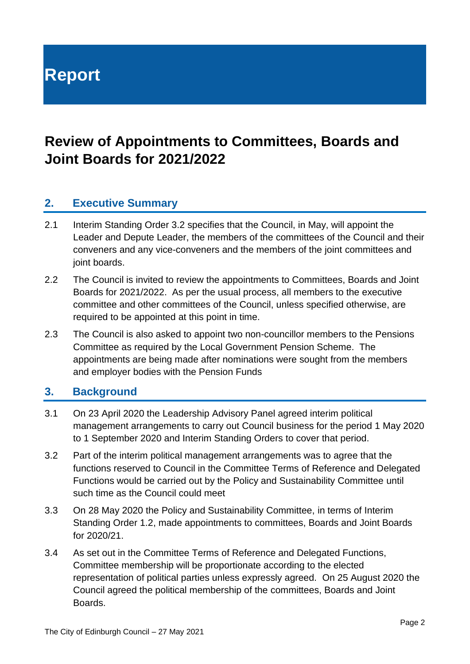**Report**

## **Review of Appointments to Committees, Boards and Joint Boards for 2021/2022**

## **2. Executive Summary**

- 2.1 Interim Standing Order 3.2 specifies that the Council, in May, will appoint the Leader and Depute Leader, the members of the committees of the Council and their conveners and any vice-conveners and the members of the joint committees and joint boards.
- 2.2 The Council is invited to review the appointments to Committees, Boards and Joint Boards for 2021/2022. As per the usual process, all members to the executive committee and other committees of the Council, unless specified otherwise, are required to be appointed at this point in time.
- 2.3 The Council is also asked to appoint two non-councillor members to the Pensions Committee as required by the Local Government Pension Scheme. The appointments are being made after nominations were sought from the members and employer bodies with the Pension Funds

## **3. Background**

- 3.1 On 23 April 2020 the Leadership Advisory Panel agreed interim political management arrangements to carry out Council business for the period 1 May 2020 to 1 September 2020 and Interim Standing Orders to cover that period.
- 3.2 Part of the interim political management arrangements was to agree that the functions reserved to Council in the Committee Terms of Reference and Delegated Functions would be carried out by the Policy and Sustainability Committee until such time as the Council could meet
- 3.3 On 28 May 2020 the Policy and Sustainability Committee, in terms of Interim Standing Order 1.2, made appointments to committees, Boards and Joint Boards for 2020/21.
- 3.4 As set out in the Committee Terms of Reference and Delegated Functions, Committee membership will be proportionate according to the elected representation of political parties unless expressly agreed. On 25 August 2020 the Council agreed the political membership of the committees, Boards and Joint Boards.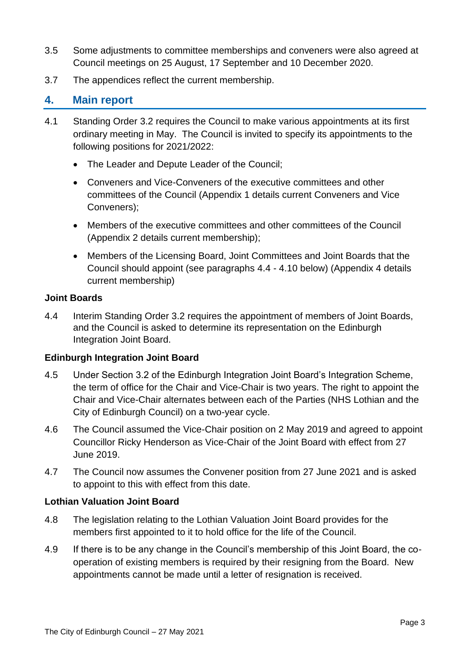- 3.5 Some adjustments to committee memberships and conveners were also agreed at Council meetings on 25 August, 17 September and 10 December 2020.
- 3.7 The appendices reflect the current membership.

## **4. Main report**

- 4.1 Standing Order 3.2 requires the Council to make various appointments at its first ordinary meeting in May. The Council is invited to specify its appointments to the following positions for 2021/2022:
	- The Leader and Depute Leader of the Council;
	- Conveners and Vice-Conveners of the executive committees and other committees of the Council (Appendix 1 details current Conveners and Vice Conveners);
	- Members of the executive committees and other committees of the Council (Appendix 2 details current membership);
	- Members of the Licensing Board, Joint Committees and Joint Boards that the Council should appoint (see paragraphs 4.4 - 4.10 below) (Appendix 4 details current membership)

#### **Joint Boards**

4.4 Interim Standing Order 3.2 requires the appointment of members of Joint Boards, and the Council is asked to determine its representation on the Edinburgh Integration Joint Board.

#### **Edinburgh Integration Joint Board**

- 4.5 Under Section 3.2 of the Edinburgh Integration Joint Board's Integration Scheme, the term of office for the Chair and Vice-Chair is two years. The right to appoint the Chair and Vice-Chair alternates between each of the Parties (NHS Lothian and the City of Edinburgh Council) on a two-year cycle.
- 4.6 The Council assumed the Vice-Chair position on 2 May 2019 and agreed to appoint Councillor Ricky Henderson as Vice-Chair of the Joint Board with effect from 27 June 2019.
- 4.7 The Council now assumes the Convener position from 27 June 2021 and is asked to appoint to this with effect from this date.

#### **Lothian Valuation Joint Board**

- 4.8 The legislation relating to the Lothian Valuation Joint Board provides for the members first appointed to it to hold office for the life of the Council.
- 4.9 If there is to be any change in the Council's membership of this Joint Board, the cooperation of existing members is required by their resigning from the Board. New appointments cannot be made until a letter of resignation is received.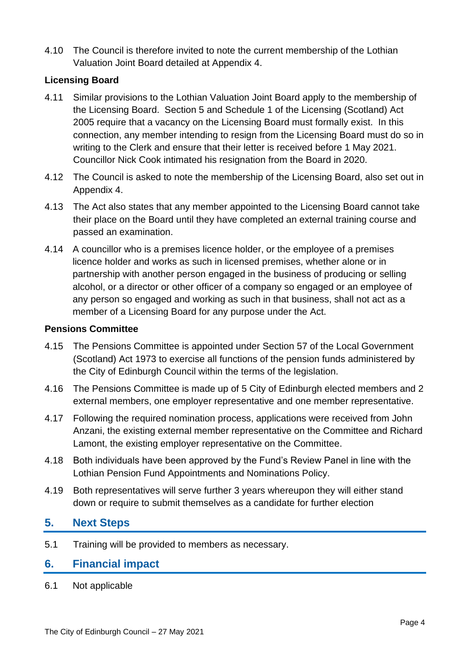4.10 The Council is therefore invited to note the current membership of the Lothian Valuation Joint Board detailed at Appendix 4.

#### **Licensing Board**

- 4.11 Similar provisions to the Lothian Valuation Joint Board apply to the membership of the Licensing Board. Section 5 and Schedule 1 of the Licensing (Scotland) Act 2005 require that a vacancy on the Licensing Board must formally exist. In this connection, any member intending to resign from the Licensing Board must do so in writing to the Clerk and ensure that their letter is received before 1 May 2021. Councillor Nick Cook intimated his resignation from the Board in 2020.
- 4.12 The Council is asked to note the membership of the Licensing Board, also set out in Appendix 4.
- 4.13 The Act also states that any member appointed to the Licensing Board cannot take their place on the Board until they have completed an external training course and passed an examination.
- 4.14 A councillor who is a premises licence holder, or the employee of a premises licence holder and works as such in licensed premises, whether alone or in partnership with another person engaged in the business of producing or selling alcohol, or a director or other officer of a company so engaged or an employee of any person so engaged and working as such in that business, shall not act as a member of a Licensing Board for any purpose under the Act.

#### **Pensions Committee**

- 4.15 The Pensions Committee is appointed under Section 57 of the Local Government (Scotland) Act 1973 to exercise all functions of the pension funds administered by the City of Edinburgh Council within the terms of the legislation.
- 4.16 The Pensions Committee is made up of 5 City of Edinburgh elected members and 2 external members, one employer representative and one member representative.
- 4.17 Following the required nomination process, applications were received from John Anzani, the existing external member representative on the Committee and Richard Lamont, the existing employer representative on the Committee.
- 4.18 Both individuals have been approved by the Fund's Review Panel in line with the Lothian Pension Fund Appointments and Nominations Policy.
- 4.19 Both representatives will serve further 3 years whereupon they will either stand down or require to submit themselves as a candidate for further election

## **5. Next Steps**

5.1 Training will be provided to members as necessary.

#### **6. Financial impact**

6.1 Not applicable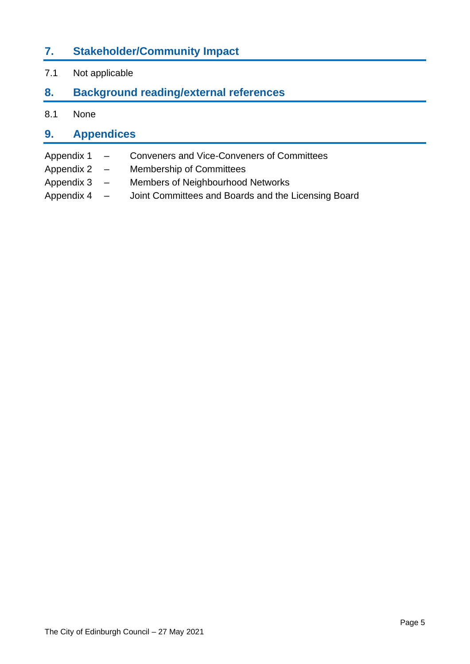## **7. Stakeholder/Community Impact**

7.1 Not applicable

## **8. Background reading/external references**

8.1 None

## **9. Appendices**

- Appendix 1 Conveners and Vice-Conveners of Committees
- Appendix 2 Membership of Committees
- Appendix 3 Members of Neighbourhood Networks
- Appendix 4 Joint Committees and Boards and the Licensing Board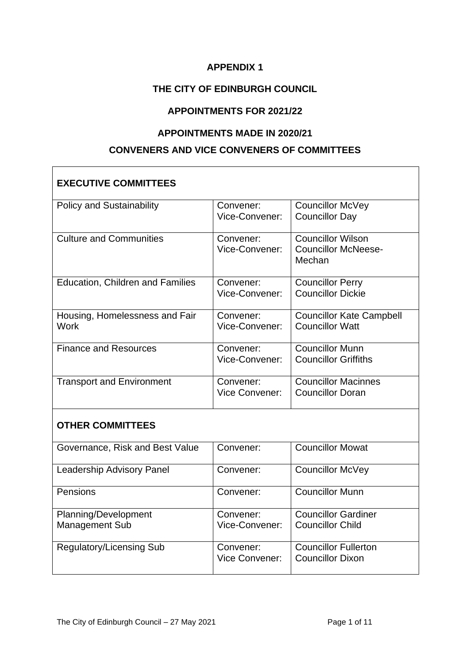## **THE CITY OF EDINBURGH COUNCIL**

#### **APPOINTMENTS FOR 2021/22**

#### **APPOINTMENTS MADE IN 2020/21**

#### **CONVENERS AND VICE CONVENERS OF COMMITTEES**

| <b>EXECUTIVE COMMITTEES</b>                   |                             |                                                                  |  |
|-----------------------------------------------|-----------------------------|------------------------------------------------------------------|--|
| <b>Policy and Sustainability</b>              | Convener:<br>Vice-Convener: | <b>Councillor McVey</b><br><b>Councillor Day</b>                 |  |
| <b>Culture and Communities</b>                | Convener:<br>Vice-Convener: | <b>Councillor Wilson</b><br><b>Councillor McNeese-</b><br>Mechan |  |
| Education, Children and Families              | Convener:<br>Vice-Convener: | <b>Councillor Perry</b><br><b>Councillor Dickie</b>              |  |
| Housing, Homelessness and Fair<br><b>Work</b> | Convener:<br>Vice-Convener: | <b>Councillor Kate Campbell</b><br><b>Councillor Watt</b>        |  |
| <b>Finance and Resources</b>                  | Convener:<br>Vice-Convener: | <b>Councillor Munn</b><br><b>Councillor Griffiths</b>            |  |
| <b>Transport and Environment</b>              | Convener:<br>Vice Convener: | <b>Councillor Macinnes</b><br><b>Councillor Doran</b>            |  |
| <b>OTHER COMMITTEES</b>                       |                             |                                                                  |  |
| Governance, Risk and Best Value               | Convener:                   | <b>Councillor Mowat</b>                                          |  |
| <b>Leadership Advisory Panel</b>              | Convener:                   | <b>Councillor McVey</b>                                          |  |
| Pensions                                      | Convener:                   | <b>Councillor Munn</b>                                           |  |
| Planning/Development<br><b>Management Sub</b> | Convener:<br>Vice-Convener: | <b>Councillor Gardiner</b><br><b>Councillor Child</b>            |  |
| <b>Regulatory/Licensing Sub</b>               | Convener:<br>Vice Convener: | <b>Councillor Fullerton</b><br><b>Councillor Dixon</b>           |  |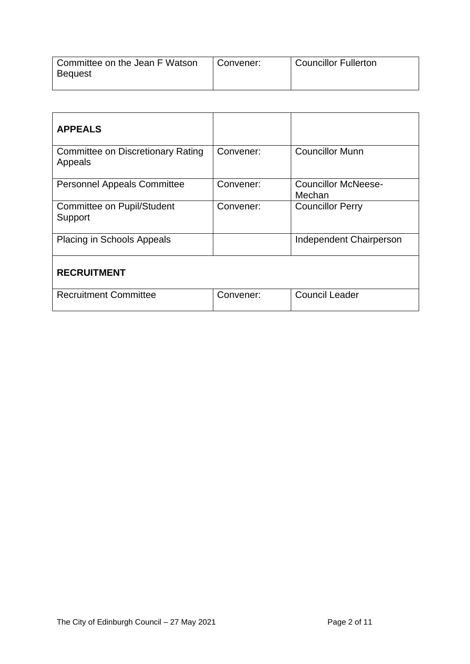| Committee on the Jean F Watson | Convener: | <b>Councillor Fullerton</b> |
|--------------------------------|-----------|-----------------------------|
| <b>Bequest</b>                 |           |                             |
|                                |           |                             |

| <b>APPEALS</b>                                      |           |                                      |
|-----------------------------------------------------|-----------|--------------------------------------|
| <b>Committee on Discretionary Rating</b><br>Appeals | Convener: | <b>Councillor Munn</b>               |
| <b>Personnel Appeals Committee</b>                  | Convener: | <b>Councillor McNeese-</b><br>Mechan |
| <b>Committee on Pupil/Student</b><br>Support        | Convener: | <b>Councillor Perry</b>              |
| <b>Placing in Schools Appeals</b>                   |           | Independent Chairperson              |
| <b>RECRUITMENT</b>                                  |           |                                      |
| <b>Recruitment Committee</b>                        | Convener: | <b>Council Leader</b>                |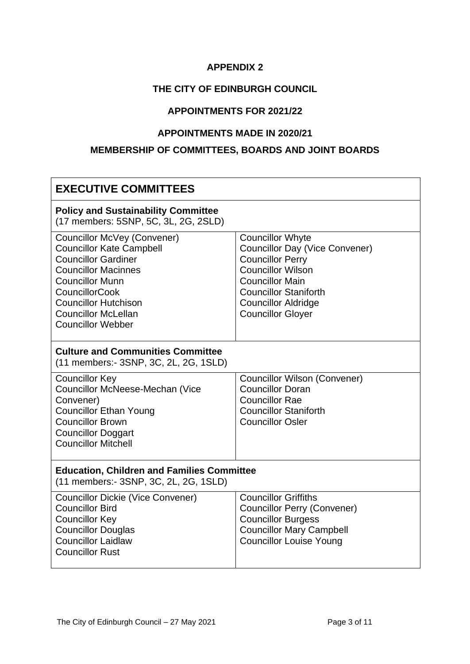## **THE CITY OF EDINBURGH COUNCIL**

#### **APPOINTMENTS FOR 2021/22**

#### **APPOINTMENTS MADE IN 2020/21**

## **MEMBERSHIP OF COMMITTEES, BOARDS AND JOINT BOARDS**

| <b>EXECUTIVE COMMITTEES</b>                                                                                                                                                                                                                                            |                                                                                                                                                                                                                                             |  |
|------------------------------------------------------------------------------------------------------------------------------------------------------------------------------------------------------------------------------------------------------------------------|---------------------------------------------------------------------------------------------------------------------------------------------------------------------------------------------------------------------------------------------|--|
| <b>Policy and Sustainability Committee</b><br>(17 members: 5SNP, 5C, 3L, 2G, 2SLD)                                                                                                                                                                                     |                                                                                                                                                                                                                                             |  |
| Councillor McVey (Convener)<br><b>Councillor Kate Campbell</b><br><b>Councillor Gardiner</b><br><b>Councillor Macinnes</b><br><b>Councillor Munn</b><br><b>CouncillorCook</b><br><b>Councillor Hutchison</b><br><b>Councillor McLellan</b><br><b>Councillor Webber</b> | <b>Councillor Whyte</b><br><b>Councillor Day (Vice Convener)</b><br><b>Councillor Perry</b><br><b>Councillor Wilson</b><br><b>Councillor Main</b><br><b>Councillor Staniforth</b><br><b>Councillor Aldridge</b><br><b>Councillor Gloyer</b> |  |
| <b>Culture and Communities Committee</b><br>(11 members:- 3SNP, 3C, 2L, 2G, 1SLD)                                                                                                                                                                                      |                                                                                                                                                                                                                                             |  |
| <b>Councillor Key</b><br>Councillor McNeese-Mechan (Vice<br>Convener)<br><b>Councillor Ethan Young</b><br><b>Councillor Brown</b><br><b>Councillor Doggart</b><br><b>Councillor Mitchell</b>                                                                           | <b>Councillor Wilson (Convener)</b><br><b>Councillor Doran</b><br><b>Councillor Rae</b><br><b>Councillor Staniforth</b><br><b>Councillor Osler</b>                                                                                          |  |
| <b>Education, Children and Families Committee</b><br>(11 members:- 3SNP, 3C, 2L, 2G, 1SLD)                                                                                                                                                                             |                                                                                                                                                                                                                                             |  |
| <b>Councillor Dickie (Vice Convener)</b><br><b>Councillor Bird</b><br><b>Councillor Key</b><br><b>Councillor Douglas</b><br><b>Councillor Laidlaw</b><br><b>Councillor Rust</b>                                                                                        | <b>Councillor Griffiths</b><br><b>Councillor Perry (Convener)</b><br><b>Councillor Burgess</b><br><b>Councillor Mary Campbell</b><br><b>Councillor Louise Young</b>                                                                         |  |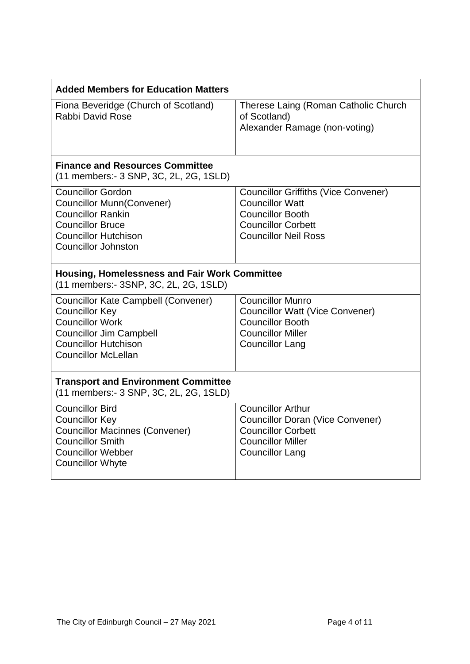| <b>Added Members for Education Matters</b>                                                                                                                                                   |                                                                                                                                                              |  |
|----------------------------------------------------------------------------------------------------------------------------------------------------------------------------------------------|--------------------------------------------------------------------------------------------------------------------------------------------------------------|--|
| Fiona Beveridge (Church of Scotland)<br>Rabbi David Rose                                                                                                                                     | Therese Laing (Roman Catholic Church<br>of Scotland)<br>Alexander Ramage (non-voting)                                                                        |  |
| <b>Finance and Resources Committee</b><br>(11 members:- 3 SNP, 3C, 2L, 2G, 1SLD)                                                                                                             |                                                                                                                                                              |  |
| <b>Councillor Gordon</b><br><b>Councillor Munn(Convener)</b><br><b>Councillor Rankin</b><br><b>Councillor Bruce</b><br><b>Councillor Hutchison</b><br><b>Councillor Johnston</b>             | <b>Councillor Griffiths (Vice Convener)</b><br><b>Councillor Watt</b><br><b>Councillor Booth</b><br><b>Councillor Corbett</b><br><b>Councillor Neil Ross</b> |  |
| <b>Housing, Homelessness and Fair Work Committee</b><br>(11 members:- 3SNP, 3C, 2L, 2G, 1SLD)                                                                                                |                                                                                                                                                              |  |
| <b>Councillor Kate Campbell (Convener)</b><br><b>Councillor Key</b><br><b>Councillor Work</b><br><b>Councillor Jim Campbell</b><br><b>Councillor Hutchison</b><br><b>Councillor McLellan</b> | <b>Councillor Munro</b><br><b>Councillor Watt (Vice Convener)</b><br><b>Councillor Booth</b><br><b>Councillor Miller</b><br><b>Councillor Lang</b>           |  |
| <b>Transport and Environment Committee</b><br>(11 members:- 3 SNP, 3C, 2L, 2G, 1SLD)                                                                                                         |                                                                                                                                                              |  |
| <b>Councillor Bird</b><br><b>Councillor Key</b><br><b>Councillor Macinnes (Convener)</b><br><b>Councillor Smith</b><br><b>Councillor Webber</b><br><b>Councillor Whyte</b>                   | <b>Councillor Arthur</b><br><b>Councillor Doran (Vice Convener)</b><br><b>Councillor Corbett</b><br><b>Councillor Miller</b><br><b>Councillor Lang</b>       |  |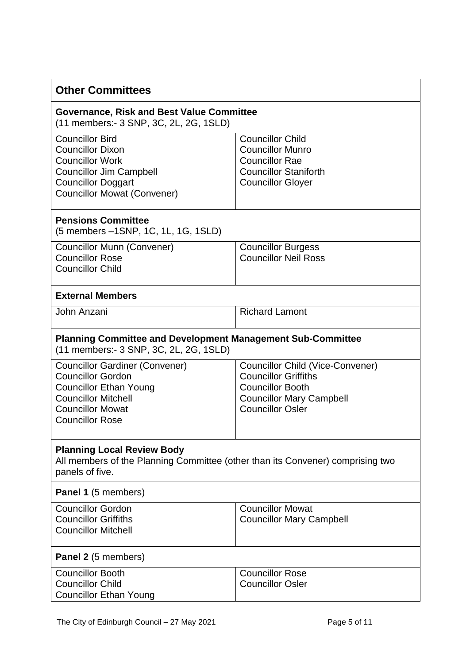| <b>Other Committees</b>                                                                                                                                                               |                                                                                                                                                          |  |
|---------------------------------------------------------------------------------------------------------------------------------------------------------------------------------------|----------------------------------------------------------------------------------------------------------------------------------------------------------|--|
| <b>Governance, Risk and Best Value Committee</b><br>(11 members:- 3 SNP, 3C, 2L, 2G, 1SLD)                                                                                            |                                                                                                                                                          |  |
| <b>Councillor Bird</b><br><b>Councillor Dixon</b><br><b>Councillor Work</b><br><b>Councillor Jim Campbell</b><br><b>Councillor Doggart</b><br><b>Councillor Mowat (Convener)</b>      | <b>Councillor Child</b><br><b>Councillor Munro</b><br><b>Councillor Rae</b><br><b>Councillor Staniforth</b><br><b>Councillor Gloyer</b>                  |  |
| <b>Pensions Committee</b><br>(5 members -1SNP, 1C, 1L, 1G, 1SLD)                                                                                                                      |                                                                                                                                                          |  |
| <b>Councillor Munn (Convener)</b><br><b>Councillor Rose</b><br><b>Councillor Child</b>                                                                                                | <b>Councillor Burgess</b><br><b>Councillor Neil Ross</b>                                                                                                 |  |
| <b>External Members</b>                                                                                                                                                               |                                                                                                                                                          |  |
| John Anzani                                                                                                                                                                           | <b>Richard Lamont</b>                                                                                                                                    |  |
| <b>Planning Committee and Development Management Sub-Committee</b><br>(11 members:- 3 SNP, 3C, 2L, 2G, 1SLD)                                                                          |                                                                                                                                                          |  |
| <b>Councillor Gardiner (Convener)</b><br><b>Councillor Gordon</b><br><b>Councillor Ethan Young</b><br><b>Councillor Mitchell</b><br><b>Councillor Mowat</b><br><b>Councillor Rose</b> | Councillor Child (Vice-Convener)<br><b>Councillor Griffiths</b><br><b>Councillor Booth</b><br><b>Councillor Mary Campbell</b><br><b>Councillor Osler</b> |  |
| <b>Planning Local Review Body</b><br>All members of the Planning Committee (other than its Convener) comprising two<br>panels of five.                                                |                                                                                                                                                          |  |
| Panel 1 (5 members)                                                                                                                                                                   |                                                                                                                                                          |  |
| <b>Councillor Gordon</b><br><b>Councillor Griffiths</b><br><b>Councillor Mitchell</b>                                                                                                 | <b>Councillor Mowat</b><br><b>Councillor Mary Campbell</b>                                                                                               |  |
| <b>Panel 2</b> (5 members)                                                                                                                                                            |                                                                                                                                                          |  |
| <b>Councillor Booth</b><br><b>Councillor Child</b><br><b>Councillor Ethan Young</b>                                                                                                   | <b>Councillor Rose</b><br><b>Councillor Osler</b>                                                                                                        |  |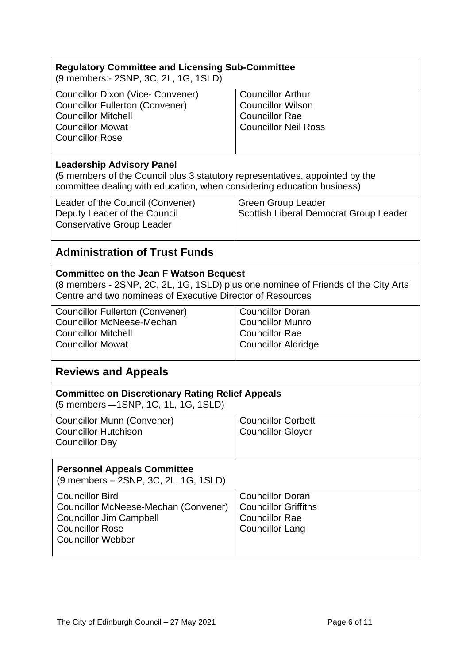| <b>Regulatory Committee and Licensing Sub-Committee</b><br>(9 members:- 2SNP, 3C, 2L, 1G, 1SLD)                                                                                                  |                                                                                                              |  |
|--------------------------------------------------------------------------------------------------------------------------------------------------------------------------------------------------|--------------------------------------------------------------------------------------------------------------|--|
| <b>Councillor Dixon (Vice- Convener)</b><br><b>Councillor Fullerton (Convener)</b><br><b>Councillor Mitchell</b><br><b>Councillor Mowat</b><br><b>Councillor Rose</b>                            | <b>Councillor Arthur</b><br><b>Councillor Wilson</b><br><b>Councillor Rae</b><br><b>Councillor Neil Ross</b> |  |
| <b>Leadership Advisory Panel</b><br>(5 members of the Council plus 3 statutory representatives, appointed by the<br>committee dealing with education, when considering education business)       |                                                                                                              |  |
| Leader of the Council (Convener)<br>Deputy Leader of the Council<br><b>Conservative Group Leader</b>                                                                                             | <b>Green Group Leader</b><br>Scottish Liberal Democrat Group Leader                                          |  |
| <b>Administration of Trust Funds</b>                                                                                                                                                             |                                                                                                              |  |
| <b>Committee on the Jean F Watson Bequest</b><br>(8 members - 2SNP, 2C, 2L, 1G, 1SLD) plus one nominee of Friends of the City Arts<br>Centre and two nominees of Executive Director of Resources |                                                                                                              |  |
| <b>Councillor Fullerton (Convener)</b><br><b>Councillor McNeese-Mechan</b><br><b>Councillor Mitchell</b><br><b>Councillor Mowat</b>                                                              | <b>Councillor Doran</b><br><b>Councillor Munro</b><br><b>Councillor Rae</b><br><b>Councillor Aldridge</b>    |  |
| <b>Reviews and Appeals</b>                                                                                                                                                                       |                                                                                                              |  |
| <b>Committee on Discretionary Rating Relief Appeals</b><br>(5 members - 1SNP, 1C, 1L, 1G, 1SLD)                                                                                                  |                                                                                                              |  |
| <b>Councillor Munn (Convener)</b><br><b>Councillor Hutchison</b><br><b>Councillor Day</b>                                                                                                        | <b>Councillor Corbett</b><br><b>Councillor Gloyer</b>                                                        |  |
| <b>Personnel Appeals Committee</b><br>(9 members – 2SNP, 3C, 2L, 1G, 1SLD)                                                                                                                       |                                                                                                              |  |
| <b>Councillor Bird</b><br>Councillor McNeese-Mechan (Convener)<br><b>Councillor Jim Campbell</b><br><b>Councillor Rose</b><br><b>Councillor Webber</b>                                           | <b>Councillor Doran</b><br><b>Councillor Griffiths</b><br><b>Councillor Rae</b><br><b>Councillor Lang</b>    |  |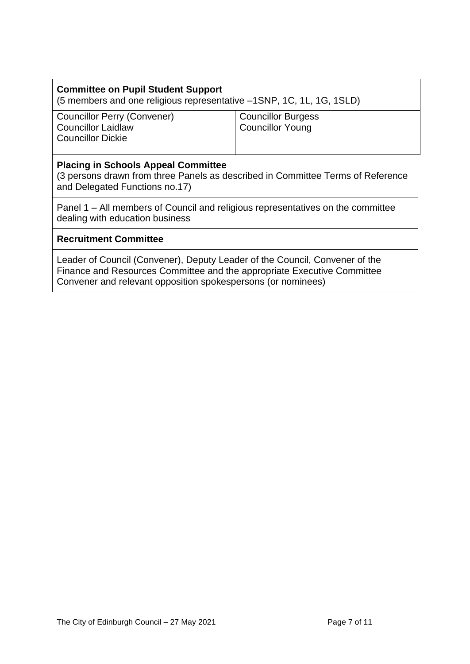| <b>Committee on Pupil Student Support</b>                            |  |
|----------------------------------------------------------------------|--|
| (5 members and one religious representative -1SNP, 1C, 1L, 1G, 1SLD) |  |

Councillor Perry (Convener) Councillor Laidlaw Councillor Dickie

Councillor Burgess Councillor Young

#### **Placing in Schools Appeal Committee**

(3 persons drawn from three Panels as described in Committee Terms of Reference and Delegated Functions no.17)

Panel 1 – All members of Council and religious representatives on the committee dealing with education business

#### **Recruitment Committee**

Leader of Council (Convener), Deputy Leader of the Council, Convener of the Finance and Resources Committee and the appropriate Executive Committee Convener and relevant opposition spokespersons (or nominees)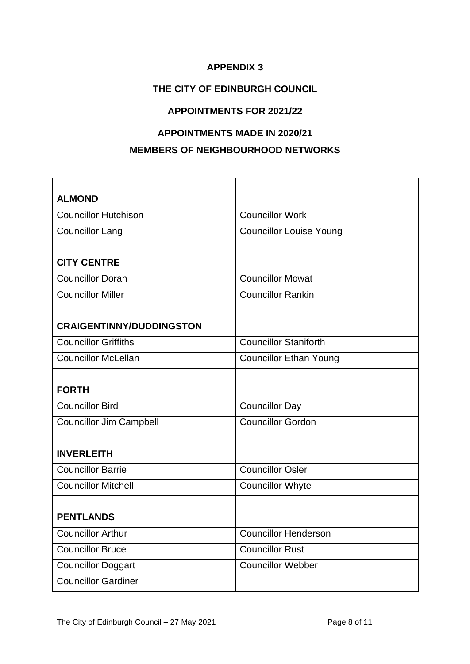## **THE CITY OF EDINBURGH COUNCIL**

#### **APPOINTMENTS FOR 2021/22**

## **APPOINTMENTS MADE IN 2020/21**

## **MEMBERS OF NEIGHBOURHOOD NETWORKS**

| <b>ALMOND</b>                   |                                |
|---------------------------------|--------------------------------|
| <b>Councillor Hutchison</b>     | <b>Councillor Work</b>         |
| <b>Councillor Lang</b>          | <b>Councillor Louise Young</b> |
|                                 |                                |
| <b>CITY CENTRE</b>              |                                |
| <b>Councillor Doran</b>         | <b>Councillor Mowat</b>        |
| <b>Councillor Miller</b>        | <b>Councillor Rankin</b>       |
|                                 |                                |
| <b>CRAIGENTINNY/DUDDINGSTON</b> |                                |
| <b>Councillor Griffiths</b>     | <b>Councillor Staniforth</b>   |
| <b>Councillor McLellan</b>      | <b>Councillor Ethan Young</b>  |
|                                 |                                |
| <b>FORTH</b>                    |                                |
| <b>Councillor Bird</b>          | <b>Councillor Day</b>          |
| <b>Councillor Jim Campbell</b>  | <b>Councillor Gordon</b>       |
|                                 |                                |
| <b>INVERLEITH</b>               |                                |
| <b>Councillor Barrie</b>        | <b>Councillor Osler</b>        |
| <b>Councillor Mitchell</b>      | <b>Councillor Whyte</b>        |
|                                 |                                |
| <b>PENTLANDS</b>                |                                |
| <b>Councillor Arthur</b>        | <b>Councillor Henderson</b>    |
| <b>Councillor Bruce</b>         | <b>Councillor Rust</b>         |
| <b>Councillor Doggart</b>       | <b>Councillor Webber</b>       |
| <b>Councillor Gardiner</b>      |                                |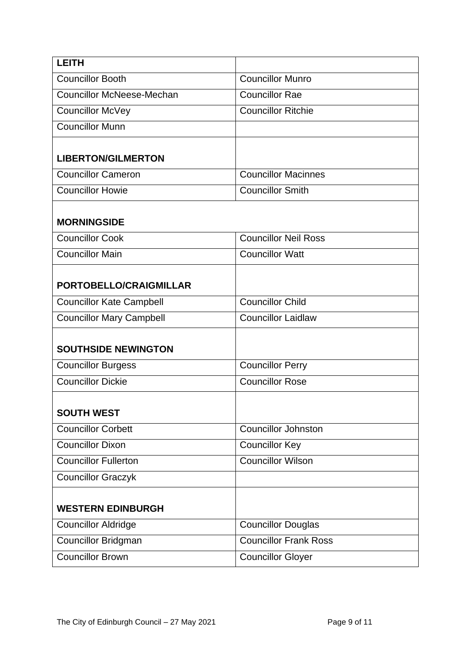| <b>LEITH</b>                     |                              |  |
|----------------------------------|------------------------------|--|
| <b>Councillor Booth</b>          | <b>Councillor Munro</b>      |  |
| <b>Councillor McNeese-Mechan</b> | <b>Councillor Rae</b>        |  |
| <b>Councillor McVey</b>          | <b>Councillor Ritchie</b>    |  |
| <b>Councillor Munn</b>           |                              |  |
| <b>LIBERTON/GILMERTON</b>        |                              |  |
| <b>Councillor Cameron</b>        | <b>Councillor Macinnes</b>   |  |
| <b>Councillor Howie</b>          | <b>Councillor Smith</b>      |  |
| <b>MORNINGSIDE</b>               |                              |  |
| <b>Councillor Cook</b>           | <b>Councillor Neil Ross</b>  |  |
| <b>Councillor Main</b>           | <b>Councillor Watt</b>       |  |
| PORTOBELLO/CRAIGMILLAR           |                              |  |
| <b>Councillor Kate Campbell</b>  | <b>Councillor Child</b>      |  |
| <b>Councillor Mary Campbell</b>  | <b>Councillor Laidlaw</b>    |  |
| <b>SOUTHSIDE NEWINGTON</b>       |                              |  |
| <b>Councillor Burgess</b>        | <b>Councillor Perry</b>      |  |
| <b>Councillor Dickie</b>         | <b>Councillor Rose</b>       |  |
| <b>SOUTH WEST</b>                |                              |  |
| <b>Councillor Corbett</b>        | <b>Councillor Johnston</b>   |  |
| <b>Councillor Dixon</b>          | <b>Councillor Key</b>        |  |
| Councillor Fullerton             | <b>Councillor Wilson</b>     |  |
| <b>Councillor Graczyk</b>        |                              |  |
| <b>WESTERN EDINBURGH</b>         |                              |  |
| <b>Councillor Aldridge</b>       | <b>Councillor Douglas</b>    |  |
| <b>Councillor Bridgman</b>       | <b>Councillor Frank Ross</b> |  |
| <b>Councillor Brown</b>          | <b>Councillor Gloyer</b>     |  |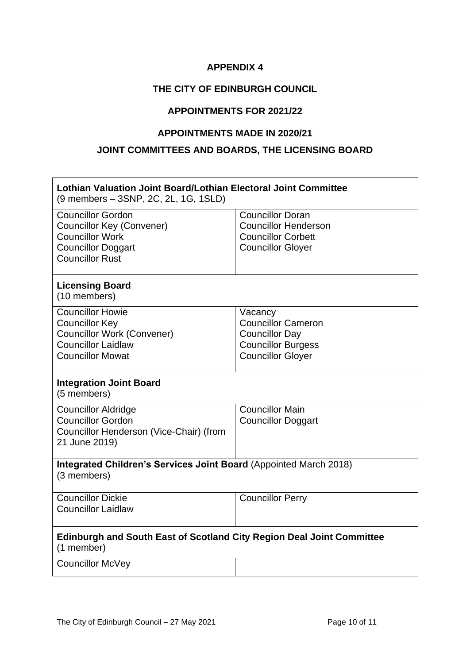#### **THE CITY OF EDINBURGH COUNCIL**

#### **APPOINTMENTS FOR 2021/22**

#### **APPOINTMENTS MADE IN 2020/21**

#### **JOINT COMMITTEES AND BOARDS, THE LICENSING BOARD**

| Lothian Valuation Joint Board/Lothian Electoral Joint Committee<br>(9 members - 3SNP, 2C, 2L, 1G, 1SLD)                                       |                                                                                                                        |  |
|-----------------------------------------------------------------------------------------------------------------------------------------------|------------------------------------------------------------------------------------------------------------------------|--|
| <b>Councillor Gordon</b><br><b>Councillor Key (Convener)</b><br><b>Councillor Work</b><br><b>Councillor Doggart</b><br><b>Councillor Rust</b> | <b>Councillor Doran</b><br><b>Councillor Henderson</b><br><b>Councillor Corbett</b><br><b>Councillor Gloyer</b>        |  |
| <b>Licensing Board</b><br>(10 members)                                                                                                        |                                                                                                                        |  |
| <b>Councillor Howie</b><br><b>Councillor Key</b><br><b>Councillor Work (Convener)</b><br><b>Councillor Laidlaw</b><br><b>Councillor Mowat</b> | Vacancy<br><b>Councillor Cameron</b><br><b>Councillor Day</b><br><b>Councillor Burgess</b><br><b>Councillor Gloyer</b> |  |
| <b>Integration Joint Board</b><br>(5 members)                                                                                                 |                                                                                                                        |  |
| <b>Councillor Aldridge</b><br><b>Councillor Gordon</b><br>Councillor Henderson (Vice-Chair) (from<br>21 June 2019)                            | <b>Councillor Main</b><br><b>Councillor Doggart</b>                                                                    |  |
| Integrated Children's Services Joint Board (Appointed March 2018)<br>(3 members)                                                              |                                                                                                                        |  |
| <b>Councillor Dickie</b><br><b>Councillor Laidlaw</b>                                                                                         | <b>Councillor Perry</b>                                                                                                |  |
| <b>Edinburgh and South East of Scotland City Region Deal Joint Committee</b><br>(1 member)                                                    |                                                                                                                        |  |
| <b>Councillor McVey</b>                                                                                                                       |                                                                                                                        |  |